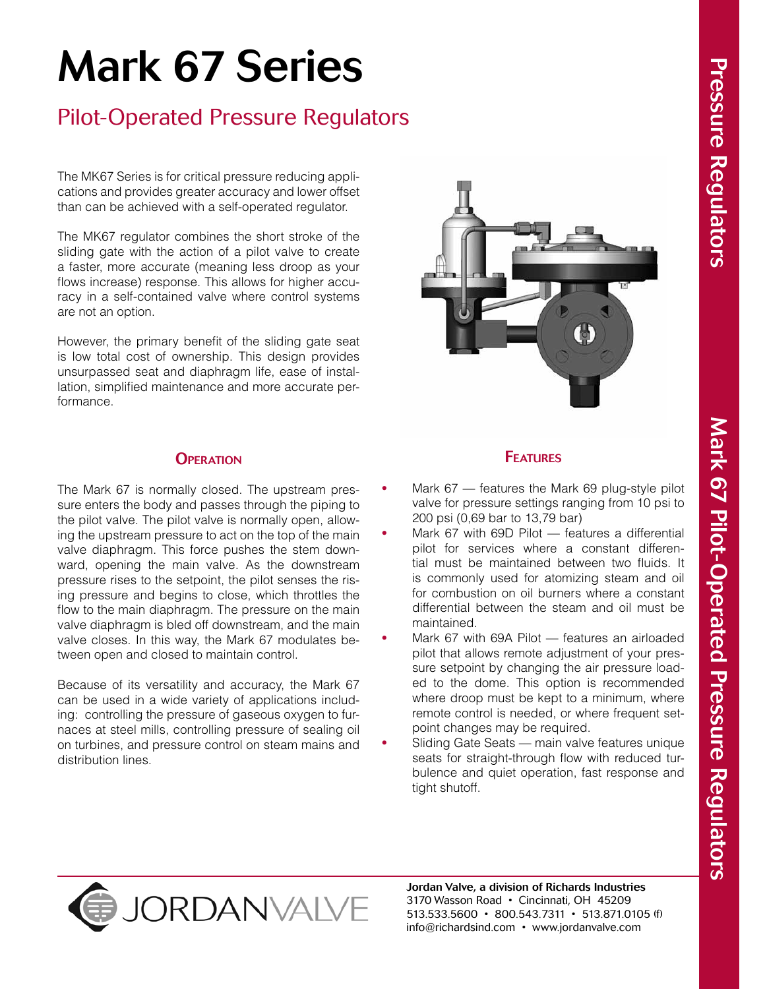# Mark 67 Series

# Pilot-Operated Pressure Regulators

The MK67 Series is for critical pressure reducing applications and provides greater accuracy and lower offset than can be achieved with a self-operated regulator.

The MK67 regulator combines the short stroke of the sliding gate with the action of a pilot valve to create a faster, more accurate (meaning less droop as your flows increase) response. This allows for higher accuracy in a self-contained valve where control systems are not an option.

However, the primary benefit of the sliding gate seat is low total cost of ownership. This design provides unsurpassed seat and diaphragm life, ease of installation, simplified maintenance and more accurate performance.

#### **OPERATION**

The Mark 67 is normally closed. The upstream pressure enters the body and passes through the piping to the pilot valve. The pilot valve is normally open, allowing the upstream pressure to act on the top of the main valve diaphragm. This force pushes the stem downward, opening the main valve. As the downstream pressure rises to the setpoint, the pilot senses the rising pressure and begins to close, which throttles the flow to the main diaphragm. The pressure on the main valve diaphragm is bled off downstream, and the main valve closes. In this way, the Mark 67 modulates between open and closed to maintain control.

Because of its versatility and accuracy, the Mark 67 can be used in a wide variety of applications including: controlling the pressure of gaseous oxygen to furnaces at steel mills, controlling pressure of sealing oil on turbines, and pressure control on steam mains and distribution lines.



# **FEATURES**

- Mark 67 features the Mark 69 plug-style pilot valve for pressure settings ranging from 10 psi to 200 psi (0,69 bar to 13,79 bar)
- Mark 67 with 69D Pilot features a differential pilot for services where a constant differential must be maintained between two fluids. It is commonly used for atomizing steam and oil for combustion on oil burners where a constant differential between the steam and oil must be maintained.
- Mark 67 with 69A Pilot features an airloaded pilot that allows remote adjustment of your pressure setpoint by changing the air pressure loaded to the dome. This option is recommended where droop must be kept to a minimum, where remote control is needed, or where frequent setpoint changes may be required.
- **Sliding Gate Seats main valve features unique** seats for straight-through flow with reduced turbulence and quiet operation, fast response and tight shutoff.





Jordan Valve, a division of Richards Industries 3170 Wasson Road • Cincinnati, OH 45209 513.533.5600 • 800.543.7311 • 513.871.0105 (f) info@richardsind.com • www.jordanvalve.com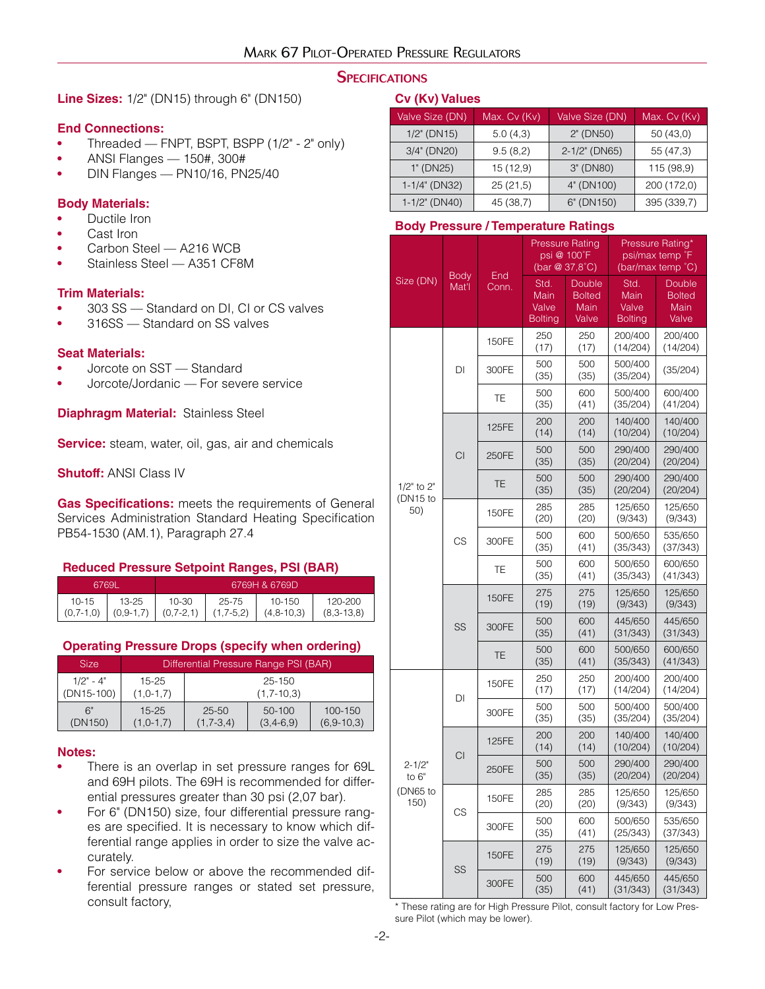#### **SPECIFICATIONS**

**Line Sizes:** 1/2" (DN15) through 6" (DN150)

#### **End Connections:**

- Threaded FNPT, BSPT, BSPP (1/2" 2" only)
- **•**  ANSI Flanges 150#, 300#
- **•**  DIN Flanges PN10/16, PN25/40

#### **Body Materials:**

- **•**  Ductile Iron
- Cast Iron
- Carbon Steel A216 WCB
- Stainless Steel A351 CF8M

#### **Trim Materials:**

- 303 SS Standard on DI, CI or CS valves
- 316SS Standard on SS valves

#### **Seat Materials:**

- **•**  Jorcote on SST Standard
- **•**  Jorcote/Jordanic For severe service

**Diaphragm Material:** Stainless Steel

**Service:** steam, water, oil, gas, air and chemicals

**Shutoff:** ANSI Class IV

**Gas Specifications:** meets the requirements of General Services Administration Standard Heating Specification PB54-1530 (AM.1), Paragraph 27.4

#### **Reduced Pressure Setpoint Ranges, PSI (BAR)**

| .6769L        |               |               |             | 6769H & 6769D    |              |
|---------------|---------------|---------------|-------------|------------------|--------------|
| $10 - 15$     | 13-25         | 10-30         | 25-75       | $10 - 150$       | 120-200      |
| $(0, 7-1, 0)$ | $(0, 9-1, 7)$ | $(0, 7-2, 1)$ | $(1,7-5,2)$ | $(4, 8 - 10, 3)$ | $(8,3-13,8)$ |

#### **Operating Pressure Drops (specify when ordering)**

| <b>Size</b>  | Differential Pressure Range PSI (BAR) |              |                 |                |  |  |  |  |
|--------------|---------------------------------------|--------------|-----------------|----------------|--|--|--|--|
| $1/2" - 4"$  | $15 - 25$                             | $25 - 150$   |                 |                |  |  |  |  |
| $(DN15-100)$ | $(1, 0-1, 7)$                         | $(1,7-10,3)$ |                 |                |  |  |  |  |
| 6"           | $15 - 25$                             | $25 - 50$    | $50-100$        | $100 - 150$    |  |  |  |  |
| (DN150)      | $(1, 0-1, 7)$                         | $(1,7-3,4)$  | $(3, 4 - 6, 9)$ | $(6.9 - 10.3)$ |  |  |  |  |

#### **Notes:**

- There is an overlap in set pressure ranges for 69L and 69H pilots. The 69H is recommended for differential pressures greater than 30 psi (2,07 bar).
- For 6" (DN150) size, four differential pressure ranges are specified. It is necessary to know which differential range applies in order to size the valve accurately.
- For service below or above the recommended differential pressure ranges or stated set pressure, consult factory,

#### **Cv (Kv) Values**

| Valve Size (DN)  | Max. Cv (Kv) | Valve Size (DN)  | <u>Ma</u> x. Cv (Kv) |
|------------------|--------------|------------------|----------------------|
| $1/2$ " (DN15)   | 5.0(4,3)     | 2" (DN50)        | 50(43,0)             |
| 3/4" (DN20)      | 9.5(8,2)     | $2-1/2$ " (DN65) | 55 (47,3)            |
| 1" (DN25)        | 15 (12,9)    | 3" (DN80)        | 115 (98,9)           |
| 1-1/4" (DN32)    | 25(21,5)     | 4" (DN100)       | 200 (172,0)          |
| $1-1/2$ " (DN40) | 45 (38,7)    | 6" (DN150)       | 395 (339,7)          |

#### **Body Pressure / Temperature Ratings**

|                       |                 | End   |                                         | <b>Pressure Rating</b><br>psi @ 100°F<br>(bar @ 37,8°C) |                                         | Pressure Rating*<br>psi/max temp °F<br>(bar/max temp °C) |
|-----------------------|-----------------|-------|-----------------------------------------|---------------------------------------------------------|-----------------------------------------|----------------------------------------------------------|
| Size (DN)             | Body<br>Mat'l   | Conn. | Std.<br>Main<br>Valve<br><b>Bolting</b> | Double<br><b>Bolted</b><br>Main<br>Valve                | Std.<br>Main<br>Valve<br><b>Bolting</b> | Double<br><b>Bolted</b><br>Main<br>Valve                 |
|                       |                 | 150FE | 250<br>(17)                             | 250<br>(17)                                             | 200/400<br>(14/204)                     | 200/400<br>(14/204)                                      |
|                       | DI              | 300FE | 500<br>(35)                             | 500<br>(35)                                             | 500/400<br>(35/204)                     | (35/204)                                                 |
|                       |                 | ТE    | 500<br>(35)                             | 600<br>(41)                                             | 500/400<br>(35/204)                     | 600/400<br>(41/204)                                      |
|                       | <b>CI</b><br>CS | 125FE | 200<br>(14)                             | 200<br>(14)                                             | 140/400<br>(10/204)                     | 140/400<br>(10/204)                                      |
|                       |                 | 250FE | 500<br>(35)                             | 500<br>(35)                                             | 290/400<br>(20/204)                     | 290/400<br>(20/204)                                      |
| 1/2" to 2"            |                 | TE    | 500<br>(35)                             | 500<br>(35)                                             | 290/400<br>(20/204)                     | 290/400<br>(20/204)                                      |
| (DN15 to<br>50)       |                 | 150FE | 285<br>(20)                             | 285<br>(20)                                             | 125/650<br>(9/343)                      | 125/650<br>(9/343)                                       |
|                       |                 | 300FE | 500<br>(35)                             | 600<br>(41)                                             | 500/650<br>(35/343)                     | 535/650<br>(37/343)                                      |
|                       |                 | ТE    | 500<br>(35)                             | 600<br>(41)                                             | 500/650<br>(35/343)                     | 600/650<br>(41/343)                                      |
|                       |                 | 150FE | 275<br>(19)                             | 275<br>(19)                                             | 125/650<br>(9/343)                      | 125/650<br>(9/343)                                       |
|                       | SS              | 300FE | 500<br>(35)                             | 600<br>(41)                                             | 445/650<br>(31/343)                     | 445/650<br>(31/343)                                      |
|                       |                 | TE    | 500<br>(35)                             | 600<br>(41)                                             | 500/650<br>(35/343)                     | 600/650<br>(41/343)                                      |
|                       | DI              | 150FE | 250<br>(17)                             | 250<br>(17)                                             | 200/400<br>(14/204)                     | 200/400<br>(14/204)                                      |
|                       |                 | 300FE | 500<br>(35)                             | 500<br>(35)                                             | 500/400<br>(35/204)                     | 500/400<br>(35/204)                                      |
|                       | CI<br>CS        | 125FE | 200<br>(14)                             | 200<br>(14)                                             | 140/400<br>(10/204)                     | 140/400<br>(10/204)                                      |
| $2 - 1/2"$<br>to $6"$ |                 | 250FE | 500<br>(35)                             | 500<br>(35)                                             | 290/400<br>(20/204)                     | 290/400<br>(20/204)                                      |
| (DN65 to<br>150)      |                 | 150FE | 285<br>(20)                             | 285<br>(20)                                             | 125/650<br>(9/343)                      | 125/650<br>(9/343)                                       |
|                       |                 | 300FE | 500<br>(35)                             | 600<br>(41)                                             | 500/650<br>(25/343)                     | 535/650<br>(37/343)                                      |
|                       | SS              | 150FE | 275<br>(19)                             | 275<br>(19)                                             | 125/650<br>(9/343)                      | 125/650<br>(9/343)                                       |
|                       |                 | 300FE | 500<br>(35)                             | 600<br>(41)                                             | 445/650<br>(31/343)                     | 445/650<br>(31/343)                                      |

\* These rating are for High Pressure Pilot, consult factory for Low Pressure Pilot (which may be lower).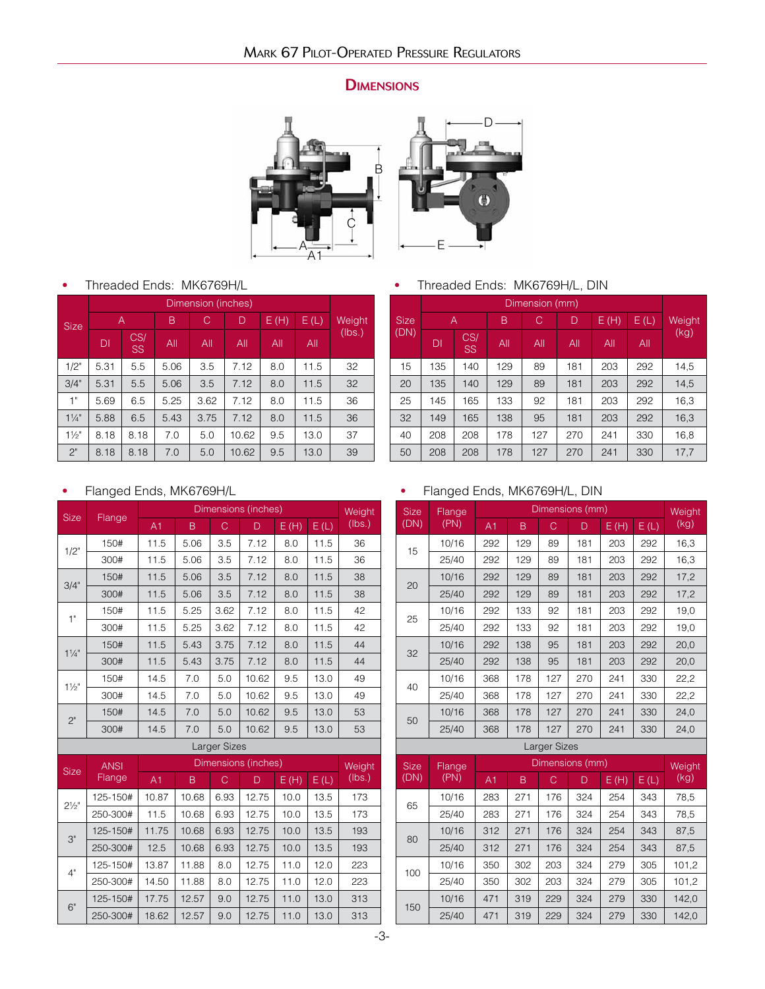# **DIMENSIONS**





**•**  Threaded Ends: MK6769H/L

|                |                |                  |      | Dimension (inches) |       |     |      |        |      |        |
|----------------|----------------|------------------|------|--------------------|-------|-----|------|--------|------|--------|
| <b>Size</b>    | $\overline{A}$ |                  |      |                    | B     | C   | D    | E(H)   | E(L) | Weight |
|                | DI             | CS/<br><b>SS</b> | All  | All                | All   | All | All  | (lbs.) |      |        |
| 1/2"           | 5.31           | 5.5              | 5.06 | 3.5                | 7.12  | 8.0 | 11.5 | 32     |      |        |
| 3/4"           | 5.31           | 5.5              | 5.06 | 3.5                | 7.12  | 8.0 | 11.5 | 32     |      |        |
| 1"             | 5.69           | 6.5              | 5.25 | 3.62               | 7.12  | 8.0 | 11.5 | 36     |      |        |
| $1\frac{1}{4}$ | 5.88           | 6.5              | 5.43 | 3.75               | 7.12  | 8.0 | 11.5 | 36     |      |        |
| $1\frac{1}{2}$ | 8.18           | 8.18             | 7.0  | 5.0                | 10.62 | 9.5 | 13.0 | 37     |      |        |
| 2"             | 8.18           | 8.18             | 7.0  | 5.0                | 10.62 | 9.5 | 13.0 | 39     |      |        |

**•**  Threaded Ends: MK6769H/L, DIN

|             |     |                  |     | Dimension (mm) |     |     |     |      |      |        |
|-------------|-----|------------------|-----|----------------|-----|-----|-----|------|------|--------|
| <b>Size</b> | Α   |                  |     |                | B   | C   | D   | E(H) | E(L) | Weight |
| (DN)        | DI  | CS/<br><b>SS</b> | All | All            | All | All | All | (kg) |      |        |
| 15          | 135 | 140              | 129 | 89             | 181 | 203 | 292 | 14,5 |      |        |
| 20          | 135 | 140              | 129 | 89             | 181 | 203 | 292 | 14,5 |      |        |
| 25          | 145 | 165              | 133 | 92             | 181 | 203 | 292 | 16,3 |      |        |
| 32          | 149 | 165              | 138 | 95             | 181 | 203 | 292 | 16,3 |      |        |
| 40          | 208 | 208              | 178 | 127            | 270 | 241 | 330 | 16,8 |      |        |
| 50          | 208 | 208              | 178 | 127            | 270 | 241 | 330 | 17,7 |      |        |

# **•**  Flanged Ends, MK6769H/L

 $3"$ 

4"

6"

| <b>Size</b>      |              |       |       |      | Dimensions (inches) |      |      | Weight |  |
|------------------|--------------|-------|-------|------|---------------------|------|------|--------|--|
|                  | Flange       | A1    | B     | C    | D                   | E(H) | E(L) | (lbs.) |  |
| $1/2$ "          | 150#         | 11.5  | 5.06  | 3.5  | 7.12                | 8.0  | 11.5 | 36     |  |
|                  | 300#         | 11.5  | 5.06  | 3.5  | 7.12                | 8.0  | 11.5 | 36     |  |
| 3/4"             | 150#         | 11.5  | 5.06  | 3.5  | 7.12                | 8.0  | 11.5 | 38     |  |
|                  | 300#         | 11.5  | 5.06  | 3.5  | 7.12                | 8.0  | 11.5 | 38     |  |
| 1"               | 150#         | 11.5  | 5.25  | 3.62 | 7.12                | 8.0  | 11.5 | 42     |  |
|                  | 300#         | 11.5  | 5.25  | 3.62 | 7.12                | 8.0  | 11.5 | 42     |  |
| $1\frac{1}{4}$   | 150#         | 11.5  | 5.43  | 3.75 | 7.12                | 8.0  | 11.5 | 44     |  |
|                  | 300#         | 11.5  | 5.43  | 3.75 | 7.12                | 8.0  | 11.5 | 44     |  |
| $1\frac{1}{2}$   | 150#         | 14.5  | 7.0   | 5.0  | 10.62               | 9.5  | 13.0 | 49     |  |
|                  | 300#         | 14.5  | 7.0   | 5.0  | 10.62               | 9.5  | 13.0 | 49     |  |
| 2"               | 150#         | 14.5  | 7.0   | 5.0  | 10.62               | 9.5  | 13.0 | 53     |  |
|                  | 300#         | 14.5  | 7.0   | 5.0  | 10.62               | 9.5  | 13.0 | 53     |  |
|                  | Larger Sizes |       |       |      |                     |      |      |        |  |
| <b>Size</b>      | <b>ANSI</b>  |       |       |      | Dimensions (inches) |      |      | Weight |  |
|                  | Flange       | A1    | B     | C    | D                   | E(H) | E(L) | (lbs.) |  |
| $2\frac{1}{2}$ " | 125-150#     | 10.87 | 10.68 | 6.93 | 12.75               | 10.0 | 13.5 | 173    |  |
|                  |              |       |       |      |                     |      |      |        |  |

250-300# 11.5 10.68 6.93 12.75 10.0 13.5 173

125-150# 11.75 10.68 6.93 12.75 10.0 13.5 193 250-300# 12.5 10.68 6.93 12.75 10.0 13.5 193

125-150# 13.87 11.88 8.0 12.75 11.0 12.0 223 250-300# 14.50 11.88 8.0 12.75 11.0 12.0 223

125-150# 17.75 12.57 9.0 12.75 11.0 13.0 313 250-300# 18.62 12.57 9.0 12.75 11.0 13.0 313

# **•**  Flanged Ends, MK6769H/L, DIN

| <b>Size</b> | Flange |     |     |                      | Dimensions (mm) |      |      | <b>Weight</b> |
|-------------|--------|-----|-----|----------------------|-----------------|------|------|---------------|
| (DN)        | (PN)   | A1  | B   | C                    | D               | E(H) | E(L) | (kg)          |
|             | 10/16  | 292 | 129 | 89                   | 181             | 203  | 292  | 16,3          |
| 15          | 25/40  | 292 | 129 | 89                   | 181             | 203  | 292  | 16,3          |
| 20          | 10/16  | 292 | 129 | 89                   | 181             | 203  | 292  | 17,2          |
|             | 25/40  | 292 | 129 | 89                   | 181             | 203  | 292  | 17,2          |
| 25          | 10/16  | 292 | 133 | 92                   | 181             | 203  | 292  | 19,0          |
|             | 25/40  | 292 | 133 | 92                   | 181             | 203  | 292  | 19,0          |
| 32          | 10/16  | 292 | 138 | 95                   | 181             | 203  | 292  | 20,0          |
|             | 25/40  | 292 | 138 | 95                   | 181             | 203  | 292  | 20,0          |
| 40          | 10/16  | 368 | 178 | 127                  | 270             | 241  | 330  | 22,2          |
|             | 25/40  | 368 | 178 | 127                  | 270             | 241  | 330  | 22,2          |
| 50          | 10/16  | 368 | 178 | 127                  | 270             | 241  | 330  | 24,0          |
|             | 25/40  | 368 | 178 | 127                  | 270             | 241  | 330  | 24,0          |
|             |        |     |     | $1 - 2 - 3 - 0 = -1$ |                 |      |      |               |

| Larger Sizes |  |
|--------------|--|
|--------------|--|

| <b>Size</b> | Flange |                |     |     | Dimensions (mm) |      |      | Weight, |
|-------------|--------|----------------|-----|-----|-----------------|------|------|---------|
| (DN)        | (PN)   | A <sub>1</sub> | B   | C   | D               | E(H) | E(L) | (kg)    |
| 65          | 10/16  | 283            | 271 | 176 | 324             | 254  | 343  | 78,5    |
|             | 25/40  | 283            | 271 | 176 | 324             | 254  | 343  | 78,5    |
| 80          | 10/16  | 312            | 271 | 176 | 324             | 254  | 343  | 87,5    |
|             | 25/40  | 312            | 271 | 176 | 324             | 254  | 343  | 87,5    |
| 100         | 10/16  | 350            | 302 | 203 | 324             | 279  | 305  | 101,2   |
|             | 25/40  | 350            | 302 | 203 | 324             | 279  | 305  | 101,2   |
| 150         | 10/16  | 471            | 319 | 229 | 324             | 279  | 330  | 142,0   |
|             | 25/40  | 471            | 319 | 229 | 324             | 279  | 330  | 142.0   |